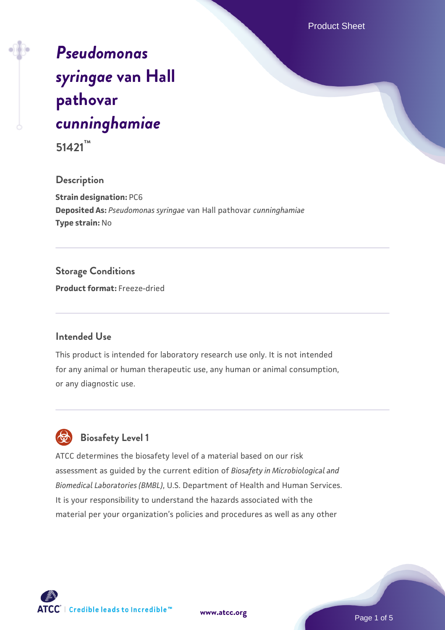Product Sheet

# *[Pseudomonas](https://www.atcc.org/products/51421) [syringae](https://www.atcc.org/products/51421)* **[van Hall](https://www.atcc.org/products/51421) [pathovar](https://www.atcc.org/products/51421)** *[cunninghamiae](https://www.atcc.org/products/51421)*

**51421™**

#### **Description**

**Strain designation:** PC6 **Deposited As:** *Pseudomonas syringae* van Hall pathovar *cunninghamiae* **Type strain:** No

# **Storage Conditions**

**Product format:** Freeze-dried

# **Intended Use**

This product is intended for laboratory research use only. It is not intended for any animal or human therapeutic use, any human or animal consumption, or any diagnostic use.

# **Biosafety Level 1**

ATCC determines the biosafety level of a material based on our risk assessment as guided by the current edition of *Biosafety in Microbiological and Biomedical Laboratories (BMBL)*, U.S. Department of Health and Human Services. It is your responsibility to understand the hazards associated with the material per your organization's policies and procedures as well as any other

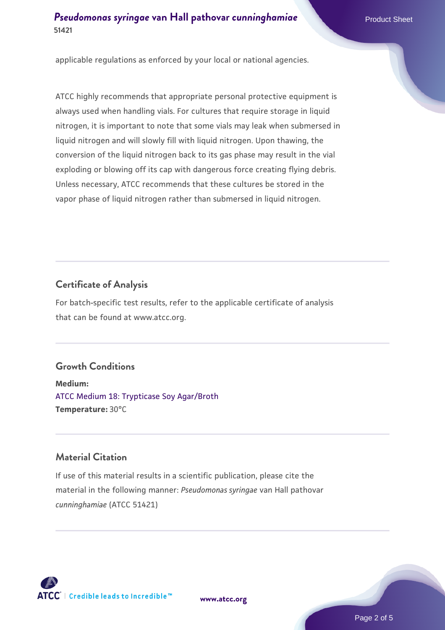applicable regulations as enforced by your local or national agencies.

ATCC highly recommends that appropriate personal protective equipment is always used when handling vials. For cultures that require storage in liquid nitrogen, it is important to note that some vials may leak when submersed in liquid nitrogen and will slowly fill with liquid nitrogen. Upon thawing, the conversion of the liquid nitrogen back to its gas phase may result in the vial exploding or blowing off its cap with dangerous force creating flying debris. Unless necessary, ATCC recommends that these cultures be stored in the vapor phase of liquid nitrogen rather than submersed in liquid nitrogen.

# **Certificate of Analysis**

For batch-specific test results, refer to the applicable certificate of analysis that can be found at www.atcc.org.

# **Growth Conditions**

**Medium:**  [ATCC Medium 18: Trypticase Soy Agar/Broth](https://www.atcc.org/-/media/product-assets/documents/microbial-media-formulations/1/8/atcc-medium-18.pdf?rev=832846e1425841f19fc70569848edae7) **Temperature:** 30°C

# **Material Citation**

If use of this material results in a scientific publication, please cite the material in the following manner: *Pseudomonas syringae* van Hall pathovar *cunninghamiae* (ATCC 51421)



**[www.atcc.org](http://www.atcc.org)**

Page 2 of 5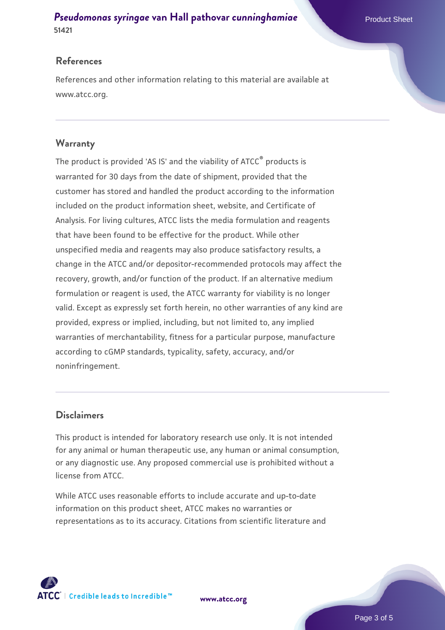#### **References**

References and other information relating to this material are available at www.atcc.org.

### **Warranty**

The product is provided 'AS IS' and the viability of ATCC® products is warranted for 30 days from the date of shipment, provided that the customer has stored and handled the product according to the information included on the product information sheet, website, and Certificate of Analysis. For living cultures, ATCC lists the media formulation and reagents that have been found to be effective for the product. While other unspecified media and reagents may also produce satisfactory results, a change in the ATCC and/or depositor-recommended protocols may affect the recovery, growth, and/or function of the product. If an alternative medium formulation or reagent is used, the ATCC warranty for viability is no longer valid. Except as expressly set forth herein, no other warranties of any kind are provided, express or implied, including, but not limited to, any implied warranties of merchantability, fitness for a particular purpose, manufacture according to cGMP standards, typicality, safety, accuracy, and/or noninfringement.

# **Disclaimers**

This product is intended for laboratory research use only. It is not intended for any animal or human therapeutic use, any human or animal consumption, or any diagnostic use. Any proposed commercial use is prohibited without a license from ATCC.

While ATCC uses reasonable efforts to include accurate and up-to-date information on this product sheet, ATCC makes no warranties or representations as to its accuracy. Citations from scientific literature and



**[www.atcc.org](http://www.atcc.org)**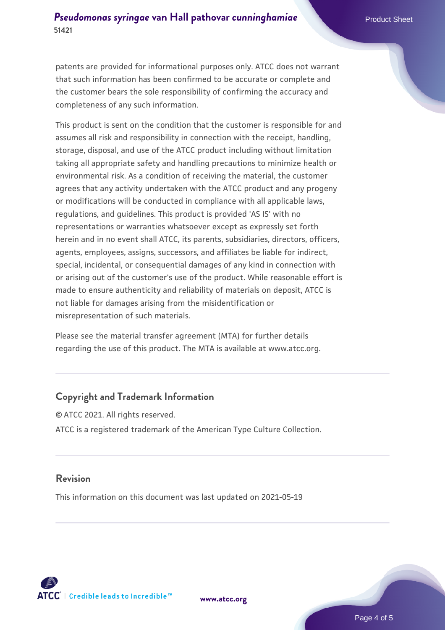patents are provided for informational purposes only. ATCC does not warrant that such information has been confirmed to be accurate or complete and the customer bears the sole responsibility of confirming the accuracy and completeness of any such information.

This product is sent on the condition that the customer is responsible for and assumes all risk and responsibility in connection with the receipt, handling, storage, disposal, and use of the ATCC product including without limitation taking all appropriate safety and handling precautions to minimize health or environmental risk. As a condition of receiving the material, the customer agrees that any activity undertaken with the ATCC product and any progeny or modifications will be conducted in compliance with all applicable laws, regulations, and guidelines. This product is provided 'AS IS' with no representations or warranties whatsoever except as expressly set forth herein and in no event shall ATCC, its parents, subsidiaries, directors, officers, agents, employees, assigns, successors, and affiliates be liable for indirect, special, incidental, or consequential damages of any kind in connection with or arising out of the customer's use of the product. While reasonable effort is made to ensure authenticity and reliability of materials on deposit, ATCC is not liable for damages arising from the misidentification or misrepresentation of such materials.

Please see the material transfer agreement (MTA) for further details regarding the use of this product. The MTA is available at www.atcc.org.

# **Copyright and Trademark Information**

© ATCC 2021. All rights reserved. ATCC is a registered trademark of the American Type Culture Collection.

# **Revision**

This information on this document was last updated on 2021-05-19



**[www.atcc.org](http://www.atcc.org)**